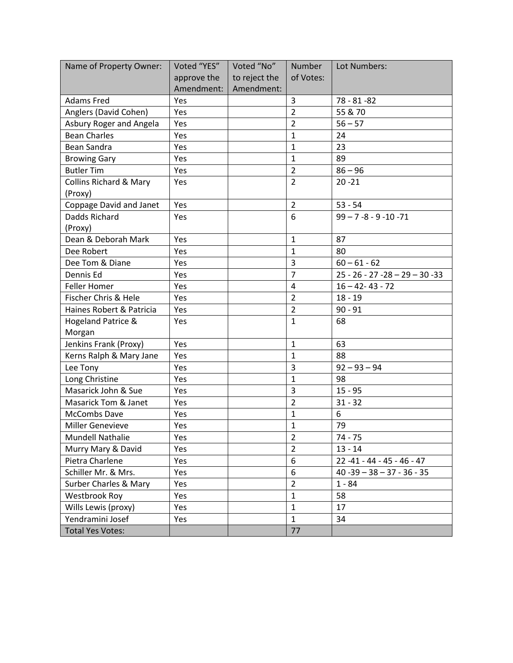| Name of Property Owner:           | Voted "YES" | Voted "No"    | <b>Number</b>    | Lot Numbers:                       |  |
|-----------------------------------|-------------|---------------|------------------|------------------------------------|--|
|                                   | approve the | to reject the | of Votes:        |                                    |  |
|                                   | Amendment:  | Amendment:    |                  |                                    |  |
| <b>Adams Fred</b>                 | Yes         |               | 3                | $78 - 81 - 82$                     |  |
| Anglers (David Cohen)             | Yes         |               | $\overline{2}$   | 55 & 70                            |  |
| Asbury Roger and Angela           | Yes         |               | $\overline{2}$   | $56 - 57$                          |  |
| <b>Bean Charles</b>               | Yes         |               | $\mathbf{1}$     | 24                                 |  |
| <b>Bean Sandra</b>                | Yes         |               | $\mathbf{1}$     | 23                                 |  |
| <b>Browing Gary</b>               | Yes         |               | $\mathbf{1}$     | 89                                 |  |
| <b>Butler Tim</b>                 | Yes         |               | $\overline{2}$   | $86 - 96$                          |  |
| <b>Collins Richard &amp; Mary</b> | Yes         |               | $\overline{2}$   | $20 - 21$                          |  |
| (Proxy)                           |             |               |                  |                                    |  |
| Coppage David and Janet           | Yes         |               | $\overline{2}$   | $53 - 54$                          |  |
| Dadds Richard                     | Yes         |               | 6                | $99 - 7 - 8 - 9 - 10 - 71$         |  |
| (Proxy)                           |             |               |                  |                                    |  |
| Dean & Deborah Mark               | Yes         |               | $\mathbf{1}$     | 87                                 |  |
| Dee Robert                        | Yes         |               | $\mathbf{1}$     | 80                                 |  |
| Dee Tom & Diane                   | Yes         |               | 3                | $60 - 61 - 62$                     |  |
| Dennis Ed                         | Yes         |               | $\overline{7}$   | $25 - 26 - 27 - 28 - 29 - 30 - 33$ |  |
| <b>Feller Homer</b>               | Yes         |               | $\overline{4}$   | $16 - 42 - 43 - 72$                |  |
| Fischer Chris & Hele              | Yes         |               | $\overline{2}$   | $18 - 19$                          |  |
| Haines Robert & Patricia          | Yes         |               | $\overline{2}$   | $90 - 91$                          |  |
| <b>Hogeland Patrice &amp;</b>     | Yes         |               | $\mathbf{1}$     | 68                                 |  |
| Morgan                            |             |               |                  |                                    |  |
| Jenkins Frank (Proxy)             | Yes         |               | $\mathbf{1}$     | 63                                 |  |
| Kerns Ralph & Mary Jane           | Yes         |               | 1                | 88                                 |  |
| Lee Tony                          | Yes         |               | 3                | $92 - 93 - 94$                     |  |
| Long Christine                    | Yes         |               | $\mathbf{1}$     | 98                                 |  |
| Masarick John & Sue               | Yes         |               | 3                | $15 - 95$                          |  |
| Masarick Tom & Janet              | Yes         |               | $\overline{2}$   | $31 - 32$                          |  |
| McCombs Dave                      | Yes         |               | $\mathbf{1}$     | 6                                  |  |
| <b>Miller Genevieve</b>           | Yes         |               | $\mathbf{1}$     | 79                                 |  |
| Mundell Nathalie                  | Yes         |               | 2                | 74 - 75                            |  |
| Murry Mary & David                | Yes         |               | $\overline{2}$   | $13 - 14$                          |  |
| Pietra Charlene                   | Yes         |               | $\boldsymbol{6}$ | $22 - 41 - 44 - 45 - 46 - 47$      |  |
| Schiller Mr. & Mrs.               | Yes         |               | 6                | $40 - 39 - 38 - 37 - 36 - 35$      |  |
| <b>Surber Charles &amp; Mary</b>  | Yes         |               | $\overline{2}$   | $1 - 84$                           |  |
| Westbrook Roy                     | Yes         |               | $\mathbf{1}$     | 58                                 |  |
| Wills Lewis (proxy)               | Yes         |               | $\mathbf{1}$     | 17                                 |  |
| Yendramini Josef                  | Yes         |               | $\mathbf{1}$     | 34                                 |  |
| <b>Total Yes Votes:</b>           |             |               | 77               |                                    |  |